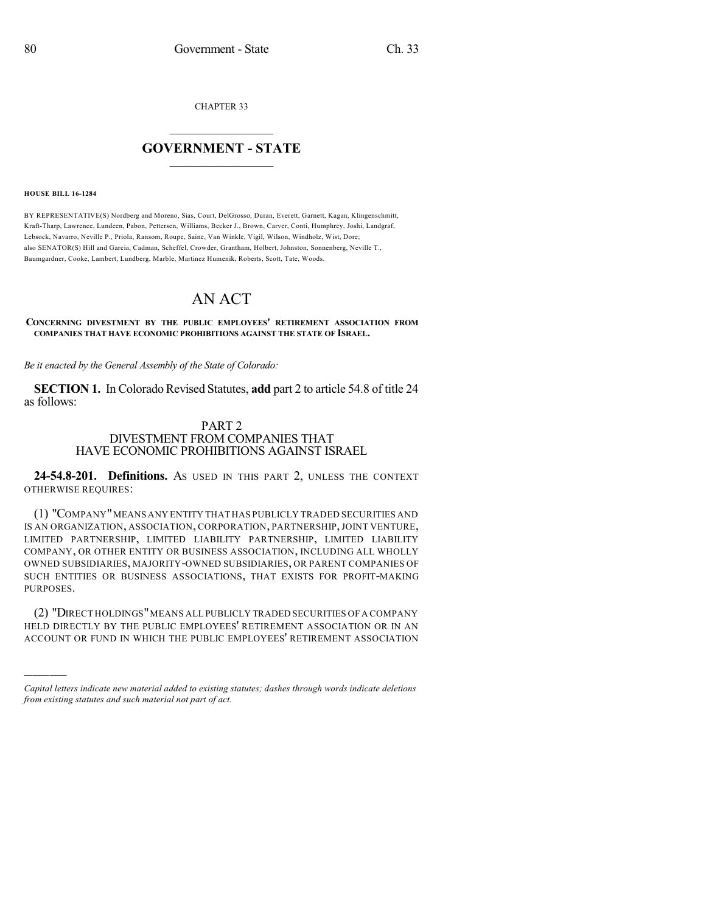CHAPTER 33

# $\mathcal{L}_\text{max}$  . The set of the set of the set of the set of the set of the set of the set of the set of the set of the set of the set of the set of the set of the set of the set of the set of the set of the set of the set **GOVERNMENT - STATE**  $\_$   $\_$   $\_$   $\_$   $\_$   $\_$   $\_$   $\_$   $\_$

#### **HOUSE BILL 16-1284**

)))))

BY REPRESENTATIVE(S) Nordberg and Moreno, Sias, Court, DelGrosso, Duran, Everett, Garnett, Kagan, Klingenschmitt, Kraft-Tharp, Lawrence, Lundeen, Pabon, Pettersen, Williams, Becker J., Brown, Carver, Conti, Humphrey, Joshi, Landgraf, Lebsock, Navarro, Neville P., Priola, Ransom, Roupe, Saine, Van Winkle, Vigil, Wilson, Windholz, Wist, Dore; also SENATOR(S) Hill and Garcia, Cadman, Scheffel, Crowder, Grantham, Holbert, Johnston, Sonnenberg, Neville T., Baumgardner, Cooke, Lambert, Lundberg, Marble, Martinez Humenik, Roberts, Scott, Tate, Woods.

# AN ACT

**CONCERNING DIVESTMENT BY THE PUBLIC EMPLOYEES' RETIREMENT ASSOCIATION FROM COMPANIES THAT HAVE ECONOMIC PROHIBITIONS AGAINST THE STATE OF ISRAEL.**

*Be it enacted by the General Assembly of the State of Colorado:*

**SECTION 1.** In Colorado Revised Statutes, **add** part 2 to article 54.8 of title 24 as follows:

## PART 2

## DIVESTMENT FROM COMPANIES THAT HAVE ECONOMIC PROHIBITIONS AGAINST ISRAEL

**24-54.8-201. Definitions.** AS USED IN THIS PART 2, UNLESS THE CONTEXT OTHERWISE REQUIRES:

(1) "COMPANY"MEANS ANY ENTITY THAT HAS PUBLICLY TRADED SECURITIES AND IS AN ORGANIZATION, ASSOCIATION, CORPORATION, PARTNERSHIP,JOINT VENTURE, LIMITED PARTNERSHIP, LIMITED LIABILITY PARTNERSHIP, LIMITED LIABILITY COMPANY, OR OTHER ENTITY OR BUSINESS ASSOCIATION, INCLUDING ALL WHOLLY OWNED SUBSIDIARIES, MAJORITY-OWNED SUBSIDIARIES, OR PARENT COMPANIES OF SUCH ENTITIES OR BUSINESS ASSOCIATIONS, THAT EXISTS FOR PROFIT-MAKING PURPOSES.

(2) "DIRECT HOLDINGS"MEANS ALL PUBLICLY TRADED SECURITIES OF A COMPANY HELD DIRECTLY BY THE PUBLIC EMPLOYEES' RETIREMENT ASSOCIATION OR IN AN ACCOUNT OR FUND IN WHICH THE PUBLIC EMPLOYEES' RETIREMENT ASSOCIATION

*Capital letters indicate new material added to existing statutes; dashes through words indicate deletions from existing statutes and such material not part of act.*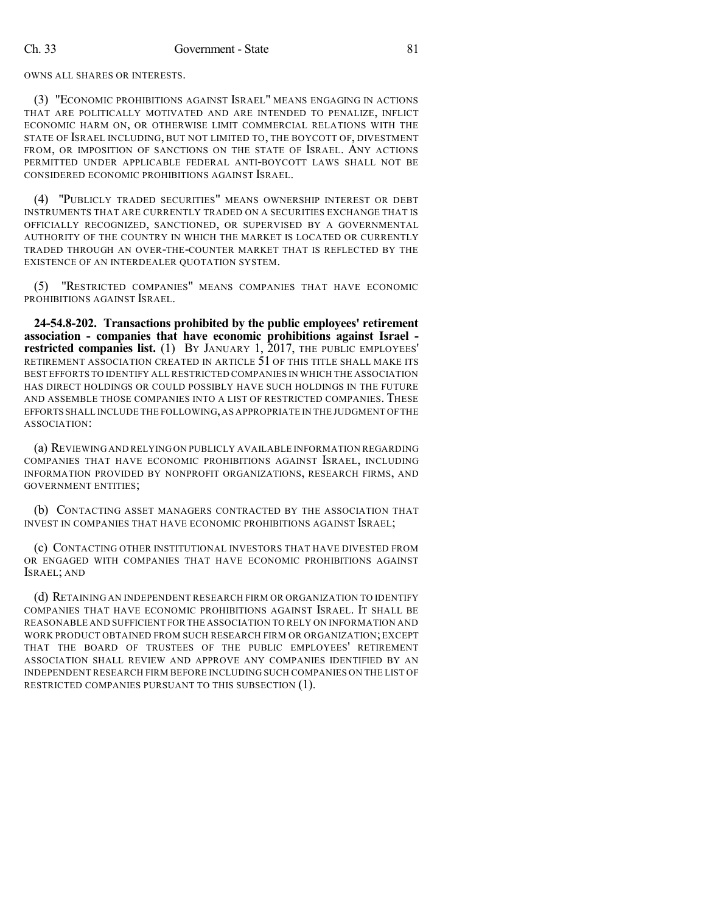OWNS ALL SHARES OR INTERESTS.

(3) "ECONOMIC PROHIBITIONS AGAINST ISRAEL" MEANS ENGAGING IN ACTIONS THAT ARE POLITICALLY MOTIVATED AND ARE INTENDED TO PENALIZE, INFLICT ECONOMIC HARM ON, OR OTHERWISE LIMIT COMMERCIAL RELATIONS WITH THE STATE OF ISRAEL INCLUDING, BUT NOT LIMITED TO, THE BOYCOTT OF, DIVESTMENT FROM, OR IMPOSITION OF SANCTIONS ON THE STATE OF ISRAEL. ANY ACTIONS PERMITTED UNDER APPLICABLE FEDERAL ANTI-BOYCOTT LAWS SHALL NOT BE CONSIDERED ECONOMIC PROHIBITIONS AGAINST ISRAEL.

(4) "PUBLICLY TRADED SECURITIES" MEANS OWNERSHIP INTEREST OR DEBT INSTRUMENTS THAT ARE CURRENTLY TRADED ON A SECURITIES EXCHANGE THAT IS OFFICIALLY RECOGNIZED, SANCTIONED, OR SUPERVISED BY A GOVERNMENTAL AUTHORITY OF THE COUNTRY IN WHICH THE MARKET IS LOCATED OR CURRENTLY TRADED THROUGH AN OVER-THE-COUNTER MARKET THAT IS REFLECTED BY THE EXISTENCE OF AN INTERDEALER QUOTATION SYSTEM.

(5) "RESTRICTED COMPANIES" MEANS COMPANIES THAT HAVE ECONOMIC PROHIBITIONS AGAINST ISRAEL.

**24-54.8-202. Transactions prohibited by the public employees' retirement association - companies that have economic prohibitions against Israel restricted companies list.** (1) BY JANUARY 1, 2017, THE PUBLIC EMPLOYEES' RETIREMENT ASSOCIATION CREATED IN ARTICLE 51 OF THIS TITLE SHALL MAKE ITS BEST EFFORTS TO IDENTIFY ALL RESTRICTED COMPANIES IN WHICH THE ASSOCIATION HAS DIRECT HOLDINGS OR COULD POSSIBLY HAVE SUCH HOLDINGS IN THE FUTURE AND ASSEMBLE THOSE COMPANIES INTO A LIST OF RESTRICTED COMPANIES. THESE EFFORTS SHALL INCLUDE THE FOLLOWING,AS APPROPRIATE IN THE JUDGMENT OFTHE ASSOCIATION:

(a) REVIEWING AND RELYING ON PUBLICLY AVAILABLE INFORMATION REGARDING COMPANIES THAT HAVE ECONOMIC PROHIBITIONS AGAINST ISRAEL, INCLUDING INFORMATION PROVIDED BY NONPROFIT ORGANIZATIONS, RESEARCH FIRMS, AND GOVERNMENT ENTITIES;

(b) CONTACTING ASSET MANAGERS CONTRACTED BY THE ASSOCIATION THAT INVEST IN COMPANIES THAT HAVE ECONOMIC PROHIBITIONS AGAINST ISRAEL;

(c) CONTACTING OTHER INSTITUTIONAL INVESTORS THAT HAVE DIVESTED FROM OR ENGAGED WITH COMPANIES THAT HAVE ECONOMIC PROHIBITIONS AGAINST ISRAEL; AND

(d) RETAINING AN INDEPENDENT RESEARCH FIRM OR ORGANIZATION TO IDENTIFY COMPANIES THAT HAVE ECONOMIC PROHIBITIONS AGAINST ISRAEL. IT SHALL BE REASONABLE AND SUFFICIENT FOR THE ASSOCIATION TO RELY ON INFORMATION AND WORK PRODUCT OBTAINED FROM SUCH RESEARCH FIRM OR ORGANIZATION; EXCEPT THAT THE BOARD OF TRUSTEES OF THE PUBLIC EMPLOYEES' RETIREMENT ASSOCIATION SHALL REVIEW AND APPROVE ANY COMPANIES IDENTIFIED BY AN INDEPENDENT RESEARCH FIRM BEFORE INCLUDING SUCH COMPANIES ON THE LIST OF RESTRICTED COMPANIES PURSUANT TO THIS SUBSECTION (1).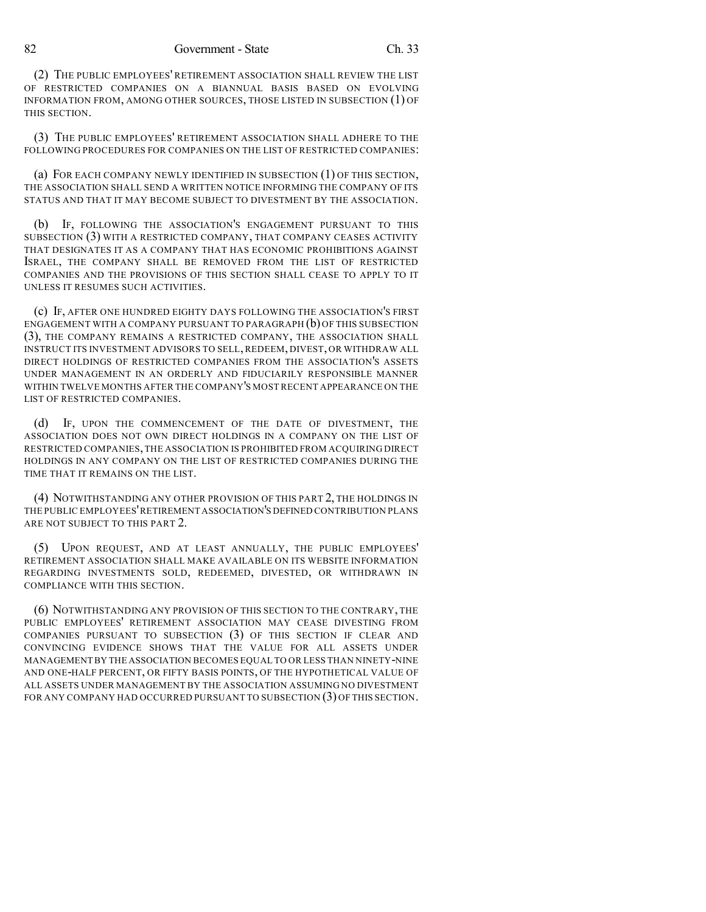(2) THE PUBLIC EMPLOYEES' RETIREMENT ASSOCIATION SHALL REVIEW THE LIST OF RESTRICTED COMPANIES ON A BIANNUAL BASIS BASED ON EVOLVING INFORMATION FROM, AMONG OTHER SOURCES, THOSE LISTED IN SUBSECTION (1) OF THIS SECTION.

(3) THE PUBLIC EMPLOYEES' RETIREMENT ASSOCIATION SHALL ADHERE TO THE FOLLOWING PROCEDURES FOR COMPANIES ON THE LIST OF RESTRICTED COMPANIES:

(a) FOR EACH COMPANY NEWLY IDENTIFIED IN SUBSECTION (1) OF THIS SECTION, THE ASSOCIATION SHALL SEND A WRITTEN NOTICE INFORMING THE COMPANY OF ITS STATUS AND THAT IT MAY BECOME SUBJECT TO DIVESTMENT BY THE ASSOCIATION.

(b) IF, FOLLOWING THE ASSOCIATION'S ENGAGEMENT PURSUANT TO THIS SUBSECTION (3) WITH A RESTRICTED COMPANY, THAT COMPANY CEASES ACTIVITY THAT DESIGNATES IT AS A COMPANY THAT HAS ECONOMIC PROHIBITIONS AGAINST ISRAEL, THE COMPANY SHALL BE REMOVED FROM THE LIST OF RESTRICTED COMPANIES AND THE PROVISIONS OF THIS SECTION SHALL CEASE TO APPLY TO IT UNLESS IT RESUMES SUCH ACTIVITIES.

(c) IF, AFTER ONE HUNDRED EIGHTY DAYS FOLLOWING THE ASSOCIATION'S FIRST ENGAGEMENT WITH A COMPANY PURSUANT TO PARAGRAPH (b) OF THIS SUBSECTION (3), THE COMPANY REMAINS A RESTRICTED COMPANY, THE ASSOCIATION SHALL INSTRUCT ITS INVESTMENT ADVISORS TO SELL, REDEEM, DIVEST, OR WITHDRAW ALL DIRECT HOLDINGS OF RESTRICTED COMPANIES FROM THE ASSOCIATION'S ASSETS UNDER MANAGEMENT IN AN ORDERLY AND FIDUCIARILY RESPONSIBLE MANNER WITHIN TWELVE MONTHS AFTER THE COMPANY'S MOST RECENT APPEARANCE ON THE LIST OF RESTRICTED COMPANIES.

(d) IF, UPON THE COMMENCEMENT OF THE DATE OF DIVESTMENT, THE ASSOCIATION DOES NOT OWN DIRECT HOLDINGS IN A COMPANY ON THE LIST OF RESTRICTED COMPANIES,THE ASSOCIATION IS PROHIBITED FROM ACQUIRING DIRECT HOLDINGS IN ANY COMPANY ON THE LIST OF RESTRICTED COMPANIES DURING THE TIME THAT IT REMAINS ON THE LIST.

(4) NOTWITHSTANDING ANY OTHER PROVISION OF THIS PART 2, THE HOLDINGS IN THE PUBLIC EMPLOYEES'RETIREMENT ASSOCIATION'S DEFINED CONTRIBUTION PLANS ARE NOT SUBJECT TO THIS PART 2.

(5) UPON REQUEST, AND AT LEAST ANNUALLY, THE PUBLIC EMPLOYEES' RETIREMENT ASSOCIATION SHALL MAKE AVAILABLE ON ITS WEBSITE INFORMATION REGARDING INVESTMENTS SOLD, REDEEMED, DIVESTED, OR WITHDRAWN IN COMPLIANCE WITH THIS SECTION.

(6) NOTWITHSTANDING ANY PROVISION OF THIS SECTION TO THE CONTRARY, THE PUBLIC EMPLOYEES' RETIREMENT ASSOCIATION MAY CEASE DIVESTING FROM COMPANIES PURSUANT TO SUBSECTION (3) OF THIS SECTION IF CLEAR AND CONVINCING EVIDENCE SHOWS THAT THE VALUE FOR ALL ASSETS UNDER MANAGEMENT BY THE ASSOCIATION BECOMES EQUAL TO OR LESS THAN NINETY-NINE AND ONE-HALF PERCENT, OR FIFTY BASIS POINTS, OF THE HYPOTHETICAL VALUE OF ALL ASSETS UNDER MANAGEMENT BY THE ASSOCIATION ASSUMING NO DIVESTMENT FOR ANY COMPANY HAD OCCURRED PURSUANT TO SUBSECTION (3) OF THIS SECTION.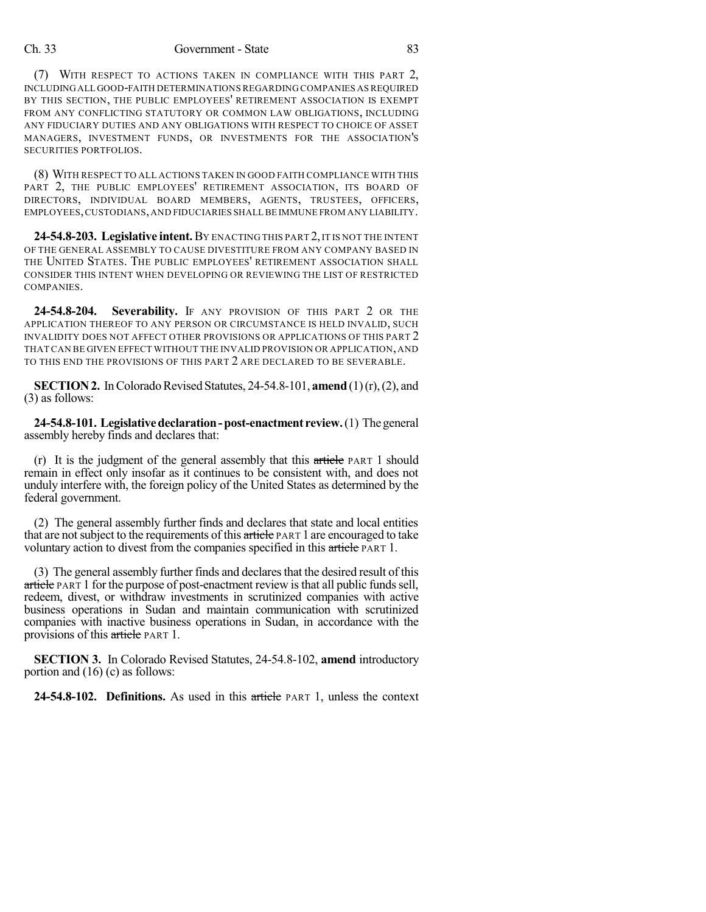### Ch. 33 Government - State 83

(7) WITH RESPECT TO ACTIONS TAKEN IN COMPLIANCE WITH THIS PART 2, INCLUDINGALL GOOD-FAITH DETERMINATIONS REGARDING COMPANIES ASREQUIRED BY THIS SECTION, THE PUBLIC EMPLOYEES' RETIREMENT ASSOCIATION IS EXEMPT FROM ANY CONFLICTING STATUTORY OR COMMON LAW OBLIGATIONS, INCLUDING ANY FIDUCIARY DUTIES AND ANY OBLIGATIONS WITH RESPECT TO CHOICE OF ASSET MANAGERS, INVESTMENT FUNDS, OR INVESTMENTS FOR THE ASSOCIATION'S SECURITIES PORTFOLIOS.

(8) WITH RESPECT TO ALL ACTIONS TAKEN IN GOOD FAITH COMPLIANCE WITH THIS PART 2, THE PUBLIC EMPLOYEES' RETIREMENT ASSOCIATION, ITS BOARD OF DIRECTORS, INDIVIDUAL BOARD MEMBERS, AGENTS, TRUSTEES, OFFICERS, EMPLOYEES,CUSTODIANS,AND FIDUCIARIES SHALL BE IMMUNE FROM ANY LIABILITY.

**24-54.8-203. Legislative intent.**BY ENACTING THIS PART 2,IT IS NOT THE INTENT OF THE GENERAL ASSEMBLY TO CAUSE DIVESTITURE FROM ANY COMPANY BASED IN THE UNITED STATES. THE PUBLIC EMPLOYEES' RETIREMENT ASSOCIATION SHALL CONSIDER THIS INTENT WHEN DEVELOPING OR REVIEWING THE LIST OF RESTRICTED COMPANIES.

**24-54.8-204. Severability.** IF ANY PROVISION OF THIS PART 2 OR THE APPLICATION THEREOF TO ANY PERSON OR CIRCUMSTANCE IS HELD INVALID, SUCH INVALIDITY DOES NOT AFFECT OTHER PROVISIONS OR APPLICATIONS OF THIS PART 2 THATCAN BE GIVEN EFFECT WITHOUT THE INVALID PROVISION OR APPLICATION,AND TO THIS END THE PROVISIONS OF THIS PART 2 ARE DECLARED TO BE SEVERABLE.

**SECTION 2.** In Colorado Revised Statutes, 24-54.8-101, **amend** (1)(r), (2), and (3) as follows:

**24-54.8-101. Legislativedeclaration-post-enactment review.**(1) Thegeneral assembly hereby finds and declares that:

(r) It is the judgment of the general assembly that this  $\pi$  tie PART 1 should remain in effect only insofar as it continues to be consistent with, and does not unduly interfere with, the foreign policy of the United States as determined by the federal government.

(2) The general assembly further finds and declares that state and local entities that are not subject to the requirements of this article PART 1 are encouraged to take voluntary action to divest from the companies specified in this article PART 1.

(3) The general assembly further finds and declaresthat the desired result of this article PART 1 for the purpose of post-enactment review is that all public funds sell, redeem, divest, or withdraw investments in scrutinized companies with active business operations in Sudan and maintain communication with scrutinized companies with inactive business operations in Sudan, in accordance with the provisions of this article PART 1.

**SECTION 3.** In Colorado Revised Statutes, 24-54.8-102, **amend** introductory portion and (16) (c) as follows:

**24-54.8-102. Definitions.** As used in this article PART 1, unless the context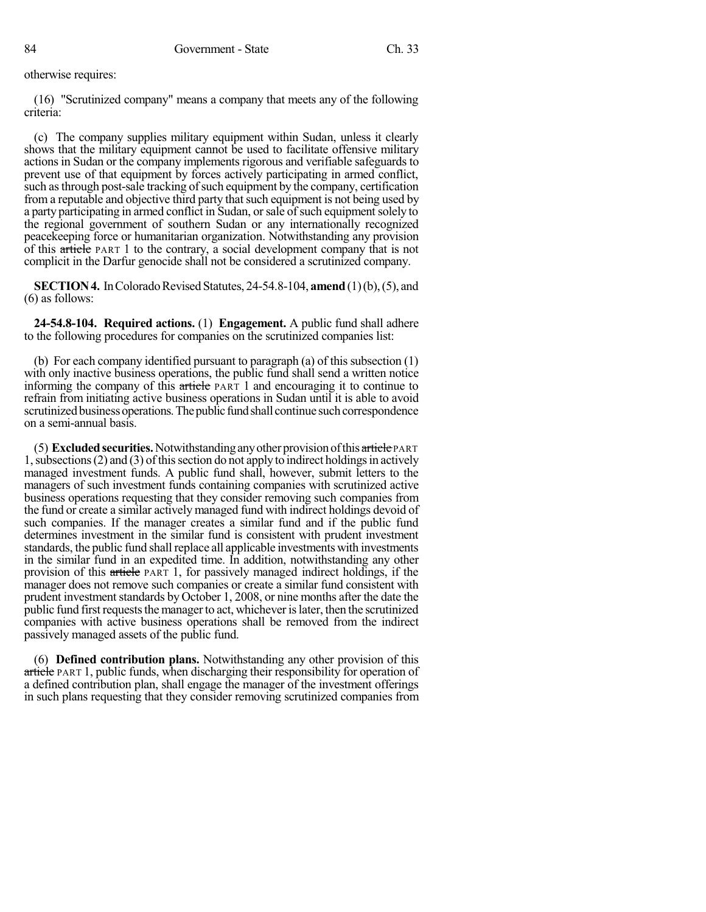otherwise requires:

(16) "Scrutinized company" means a company that meets any of the following criteria:

(c) The company supplies military equipment within Sudan, unless it clearly shows that the military equipment cannot be used to facilitate offensive military actions in Sudan or the company implements rigorous and verifiable safeguards to prevent use of that equipment by forces actively participating in armed conflict, such as through post-sale tracking of such equipment by the company, certification from a reputable and objective third party that such equipment is not being used by a party participating in armed conflict in Sudan, or sale of such equipment solely to the regional government of southern Sudan or any internationally recognized peacekeeping force or humanitarian organization. Notwithstanding any provision of this article PART 1 to the contrary, a social development company that is not complicit in the Darfur genocide shall not be considered a scrutinized company.

**SECTION 4.** In Colorado Revised Statutes, 24-54.8-104, **amend** (1)(b), (5), and (6) as follows:

**24-54.8-104. Required actions.** (1) **Engagement.** A public fund shall adhere to the following procedures for companies on the scrutinized companies list:

(b) For each company identified pursuant to paragraph (a) of this subsection (1) with only inactive business operations, the public fund shall send a written notice informing the company of this article PART 1 and encouraging it to continue to refrain from initiating active business operations in Sudan until it is able to avoid scrutinized business operations. The public fund shall continue such correspondence on a semi-annual basis.

(5) **Excludedsecurities.**Notwithstandinganyother provisionofthis article PART 1, subsections (2) and (3) of this section do not apply to indirect holdings in actively managed investment funds. A public fund shall, however, submit letters to the managers of such investment funds containing companies with scrutinized active business operations requesting that they consider removing such companies from the fund or create a similar actively managed fund with indirect holdings devoid of such companies. If the manager creates a similar fund and if the public fund determines investment in the similar fund is consistent with prudent investment standards, the public fund shall replace all applicable investments with investments in the similar fund in an expedited time. In addition, notwithstanding any other provision of this article PART 1, for passively managed indirect holdings, if the manager does not remove such companies or create a similar fund consistent with prudent investment standards by October 1, 2008, or nine months after the date the public fund first requests the manager to act, whichever is later, then the scrutinized companies with active business operations shall be removed from the indirect passively managed assets of the public fund.

(6) **Defined contribution plans.** Notwithstanding any other provision of this article PART 1, public funds, when discharging their responsibility for operation of a defined contribution plan, shall engage the manager of the investment offerings in such plans requesting that they consider removing scrutinized companies from